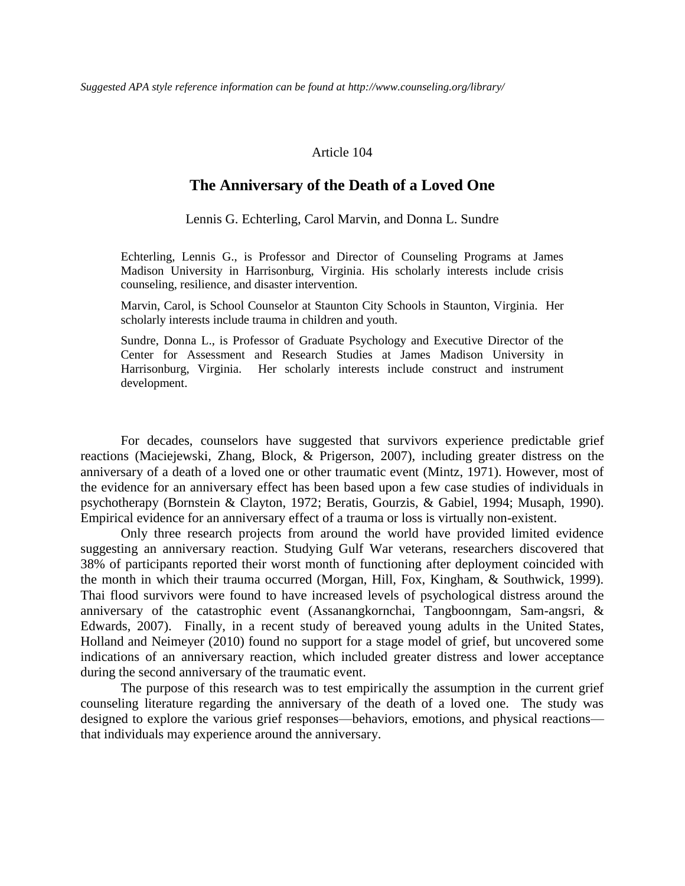#### Article 104

#### **The Anniversary of the Death of a Loved One**

Lennis G. Echterling, Carol Marvin, and Donna L. Sundre

Echterling, Lennis G., is Professor and Director of Counseling Programs at James Madison University in Harrisonburg, Virginia. His scholarly interests include crisis counseling, resilience, and disaster intervention.

Marvin, Carol, is School Counselor at Staunton City Schools in Staunton, Virginia. Her scholarly interests include trauma in children and youth.

Sundre, Donna L., is Professor of Graduate Psychology and Executive Director of the Center for Assessment and Research Studies at James Madison University in Harrisonburg, Virginia. Her scholarly interests include construct and instrument development.

For decades, counselors have suggested that survivors experience predictable grief reactions (Maciejewski, Zhang, Block, & Prigerson, 2007), including greater distress on the anniversary of a death of a loved one or other traumatic event (Mintz, 1971). However, most of the evidence for an anniversary effect has been based upon a few case studies of individuals in psychotherapy (Bornstein & Clayton, 1972; Beratis, Gourzis, & Gabiel, 1994; Musaph, 1990). Empirical evidence for an anniversary effect of a trauma or loss is virtually non-existent.

Only three research projects from around the world have provided limited evidence suggesting an anniversary reaction. Studying Gulf War veterans, researchers discovered that 38% of participants reported their worst month of functioning after deployment coincided with the month in which their trauma occurred (Morgan, Hill, Fox, Kingham, & Southwick, 1999). Thai flood survivors were found to have increased levels of psychological distress around the anniversary of the catastrophic event (Assanangkornchai, Tangboonngam, Sam-angsri, & Edwards, 2007). Finally, in a recent study of bereaved young adults in the United States, Holland and Neimeyer (2010) found no support for a stage model of grief, but uncovered some indications of an anniversary reaction, which included greater distress and lower acceptance during the second anniversary of the traumatic event.

The purpose of this research was to test empirically the assumption in the current grief counseling literature regarding the anniversary of the death of a loved one. The study was designed to explore the various grief responses—behaviors, emotions, and physical reactions that individuals may experience around the anniversary.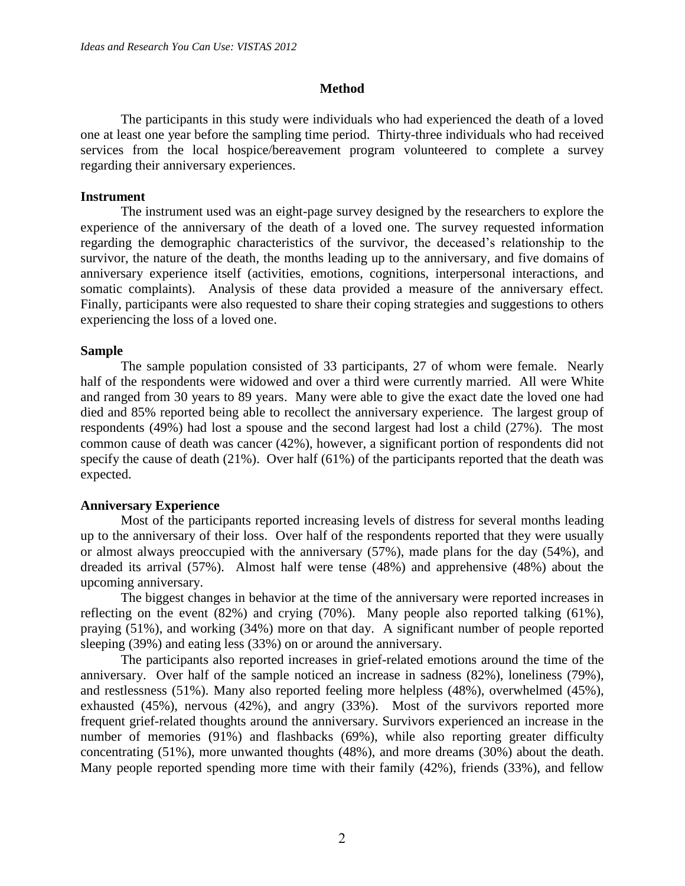# **Method**

The participants in this study were individuals who had experienced the death of a loved one at least one year before the sampling time period. Thirty-three individuals who had received services from the local hospice/bereavement program volunteered to complete a survey regarding their anniversary experiences.

#### **Instrument**

The instrument used was an eight-page survey designed by the researchers to explore the experience of the anniversary of the death of a loved one. The survey requested information regarding the demographic characteristics of the survivor, the deceased's relationship to the survivor, the nature of the death, the months leading up to the anniversary, and five domains of anniversary experience itself (activities, emotions, cognitions, interpersonal interactions, and somatic complaints). Analysis of these data provided a measure of the anniversary effect. Finally, participants were also requested to share their coping strategies and suggestions to others experiencing the loss of a loved one.

# **Sample**

The sample population consisted of 33 participants, 27 of whom were female. Nearly half of the respondents were widowed and over a third were currently married. All were White and ranged from 30 years to 89 years. Many were able to give the exact date the loved one had died and 85% reported being able to recollect the anniversary experience. The largest group of respondents (49%) had lost a spouse and the second largest had lost a child (27%). The most common cause of death was cancer (42%), however, a significant portion of respondents did not specify the cause of death (21%). Over half (61%) of the participants reported that the death was expected.

# **Anniversary Experience**

Most of the participants reported increasing levels of distress for several months leading up to the anniversary of their loss. Over half of the respondents reported that they were usually or almost always preoccupied with the anniversary (57%), made plans for the day (54%), and dreaded its arrival (57%). Almost half were tense (48%) and apprehensive (48%) about the upcoming anniversary.

The biggest changes in behavior at the time of the anniversary were reported increases in reflecting on the event (82%) and crying (70%). Many people also reported talking (61%), praying (51%), and working (34%) more on that day. A significant number of people reported sleeping (39%) and eating less (33%) on or around the anniversary.

The participants also reported increases in grief-related emotions around the time of the anniversary. Over half of the sample noticed an increase in sadness (82%), loneliness (79%), and restlessness (51%). Many also reported feeling more helpless (48%), overwhelmed (45%), exhausted (45%), nervous (42%), and angry (33%). Most of the survivors reported more frequent grief-related thoughts around the anniversary. Survivors experienced an increase in the number of memories (91%) and flashbacks (69%), while also reporting greater difficulty concentrating (51%), more unwanted thoughts (48%), and more dreams (30%) about the death. Many people reported spending more time with their family (42%), friends (33%), and fellow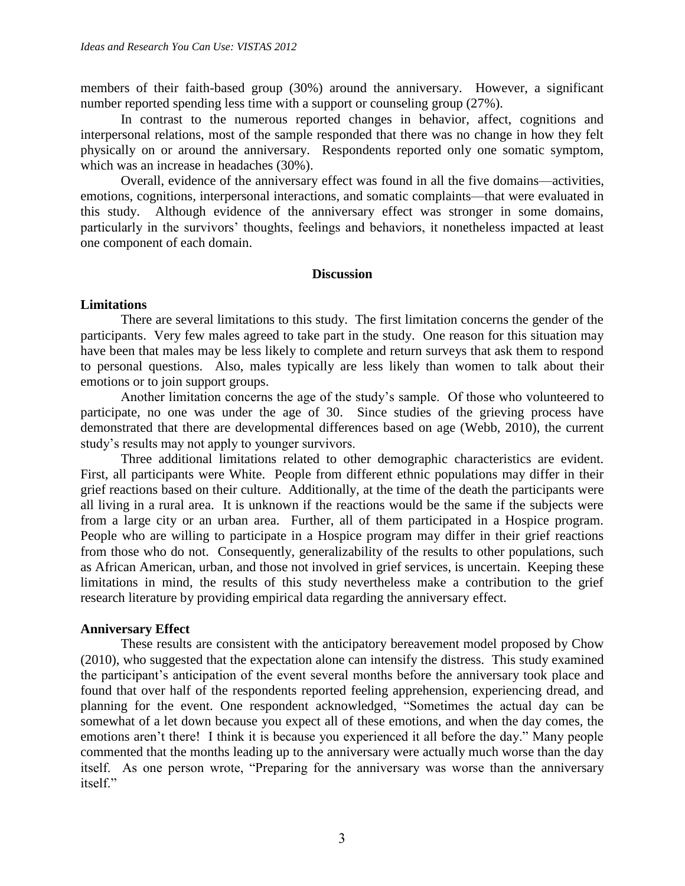members of their faith-based group (30%) around the anniversary. However, a significant number reported spending less time with a support or counseling group (27%).

In contrast to the numerous reported changes in behavior, affect, cognitions and interpersonal relations, most of the sample responded that there was no change in how they felt physically on or around the anniversary. Respondents reported only one somatic symptom, which was an increase in headaches (30%).

Overall, evidence of the anniversary effect was found in all the five domains—activities, emotions, cognitions, interpersonal interactions, and somatic complaints—that were evaluated in this study. Although evidence of the anniversary effect was stronger in some domains, particularly in the survivors' thoughts, feelings and behaviors, it nonetheless impacted at least one component of each domain.

#### **Discussion**

# **Limitations**

There are several limitations to this study. The first limitation concerns the gender of the participants. Very few males agreed to take part in the study. One reason for this situation may have been that males may be less likely to complete and return surveys that ask them to respond to personal questions. Also, males typically are less likely than women to talk about their emotions or to join support groups.

Another limitation concerns the age of the study's sample. Of those who volunteered to participate, no one was under the age of 30. Since studies of the grieving process have demonstrated that there are developmental differences based on age (Webb, 2010), the current study's results may not apply to younger survivors.

Three additional limitations related to other demographic characteristics are evident. First, all participants were White. People from different ethnic populations may differ in their grief reactions based on their culture. Additionally, at the time of the death the participants were all living in a rural area. It is unknown if the reactions would be the same if the subjects were from a large city or an urban area. Further, all of them participated in a Hospice program. People who are willing to participate in a Hospice program may differ in their grief reactions from those who do not. Consequently, generalizability of the results to other populations, such as African American, urban, and those not involved in grief services, is uncertain. Keeping these limitations in mind, the results of this study nevertheless make a contribution to the grief research literature by providing empirical data regarding the anniversary effect.

# **Anniversary Effect**

These results are consistent with the anticipatory bereavement model proposed by Chow (2010), who suggested that the expectation alone can intensify the distress. This study examined the participant's anticipation of the event several months before the anniversary took place and found that over half of the respondents reported feeling apprehension, experiencing dread, and planning for the event. One respondent acknowledged, "Sometimes the actual day can be somewhat of a let down because you expect all of these emotions, and when the day comes, the emotions aren't there! I think it is because you experienced it all before the day." Many people commented that the months leading up to the anniversary were actually much worse than the day itself. As one person wrote, "Preparing for the anniversary was worse than the anniversary itself."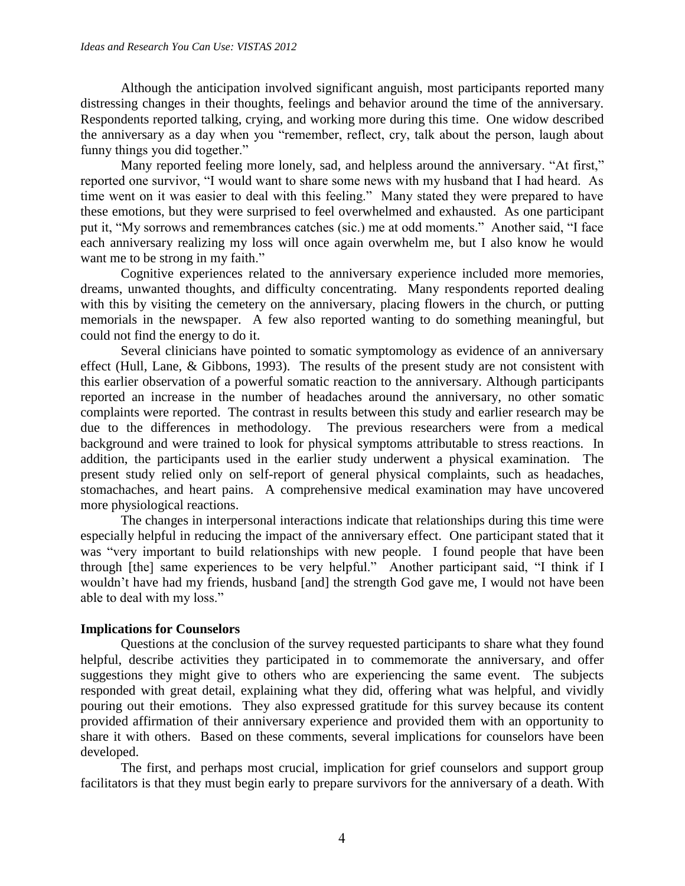Although the anticipation involved significant anguish, most participants reported many distressing changes in their thoughts, feelings and behavior around the time of the anniversary. Respondents reported talking, crying, and working more during this time. One widow described the anniversary as a day when you "remember, reflect, cry, talk about the person, laugh about funny things you did together."

Many reported feeling more lonely, sad, and helpless around the anniversary. "At first," reported one survivor, "I would want to share some news with my husband that I had heard. As time went on it was easier to deal with this feeling." Many stated they were prepared to have these emotions, but they were surprised to feel overwhelmed and exhausted. As one participant put it, "My sorrows and remembrances catches (sic.) me at odd moments." Another said, "I face each anniversary realizing my loss will once again overwhelm me, but I also know he would want me to be strong in my faith."

Cognitive experiences related to the anniversary experience included more memories, dreams, unwanted thoughts, and difficulty concentrating. Many respondents reported dealing with this by visiting the cemetery on the anniversary, placing flowers in the church, or putting memorials in the newspaper. A few also reported wanting to do something meaningful, but could not find the energy to do it.

Several clinicians have pointed to somatic symptomology as evidence of an anniversary effect (Hull, Lane, & Gibbons, 1993). The results of the present study are not consistent with this earlier observation of a powerful somatic reaction to the anniversary. Although participants reported an increase in the number of headaches around the anniversary, no other somatic complaints were reported. The contrast in results between this study and earlier research may be due to the differences in methodology. The previous researchers were from a medical background and were trained to look for physical symptoms attributable to stress reactions. In addition, the participants used in the earlier study underwent a physical examination. The present study relied only on self-report of general physical complaints, such as headaches, stomachaches, and heart pains. A comprehensive medical examination may have uncovered more physiological reactions.

The changes in interpersonal interactions indicate that relationships during this time were especially helpful in reducing the impact of the anniversary effect. One participant stated that it was "very important to build relationships with new people. I found people that have been through [the] same experiences to be very helpful." Another participant said, "I think if I wouldn't have had my friends, husband [and] the strength God gave me, I would not have been able to deal with my loss."

# **Implications for Counselors**

Questions at the conclusion of the survey requested participants to share what they found helpful, describe activities they participated in to commemorate the anniversary, and offer suggestions they might give to others who are experiencing the same event. The subjects responded with great detail, explaining what they did, offering what was helpful, and vividly pouring out their emotions. They also expressed gratitude for this survey because its content provided affirmation of their anniversary experience and provided them with an opportunity to share it with others. Based on these comments, several implications for counselors have been developed.

The first, and perhaps most crucial, implication for grief counselors and support group facilitators is that they must begin early to prepare survivors for the anniversary of a death. With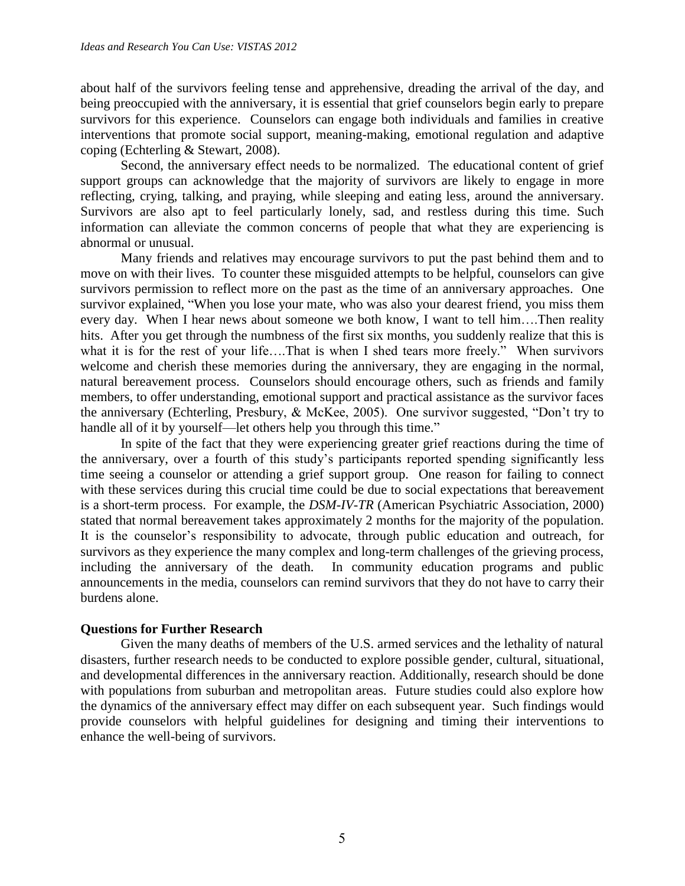about half of the survivors feeling tense and apprehensive, dreading the arrival of the day, and being preoccupied with the anniversary, it is essential that grief counselors begin early to prepare survivors for this experience. Counselors can engage both individuals and families in creative interventions that promote social support, meaning-making, emotional regulation and adaptive coping (Echterling & Stewart, 2008).

Second, the anniversary effect needs to be normalized. The educational content of grief support groups can acknowledge that the majority of survivors are likely to engage in more reflecting, crying, talking, and praying, while sleeping and eating less, around the anniversary. Survivors are also apt to feel particularly lonely, sad, and restless during this time. Such information can alleviate the common concerns of people that what they are experiencing is abnormal or unusual.

Many friends and relatives may encourage survivors to put the past behind them and to move on with their lives. To counter these misguided attempts to be helpful, counselors can give survivors permission to reflect more on the past as the time of an anniversary approaches. One survivor explained, "When you lose your mate, who was also your dearest friend, you miss them every day. When I hear news about someone we both know, I want to tell him….Then reality hits. After you get through the numbness of the first six months, you suddenly realize that this is what it is for the rest of your life....That is when I shed tears more freely." When survivors welcome and cherish these memories during the anniversary, they are engaging in the normal, natural bereavement process. Counselors should encourage others, such as friends and family members, to offer understanding, emotional support and practical assistance as the survivor faces the anniversary (Echterling, Presbury, & McKee, 2005). One survivor suggested, "Don't try to handle all of it by yourself—let others help you through this time."

In spite of the fact that they were experiencing greater grief reactions during the time of the anniversary, over a fourth of this study's participants reported spending significantly less time seeing a counselor or attending a grief support group. One reason for failing to connect with these services during this crucial time could be due to social expectations that bereavement is a short-term process. For example, the *DSM-IV-TR* (American Psychiatric Association, 2000) stated that normal bereavement takes approximately 2 months for the majority of the population. It is the counselor's responsibility to advocate, through public education and outreach, for survivors as they experience the many complex and long-term challenges of the grieving process, including the anniversary of the death. In community education programs and public announcements in the media, counselors can remind survivors that they do not have to carry their burdens alone.

# **Questions for Further Research**

Given the many deaths of members of the U.S. armed services and the lethality of natural disasters, further research needs to be conducted to explore possible gender, cultural, situational, and developmental differences in the anniversary reaction. Additionally, research should be done with populations from suburban and metropolitan areas. Future studies could also explore how the dynamics of the anniversary effect may differ on each subsequent year. Such findings would provide counselors with helpful guidelines for designing and timing their interventions to enhance the well-being of survivors.